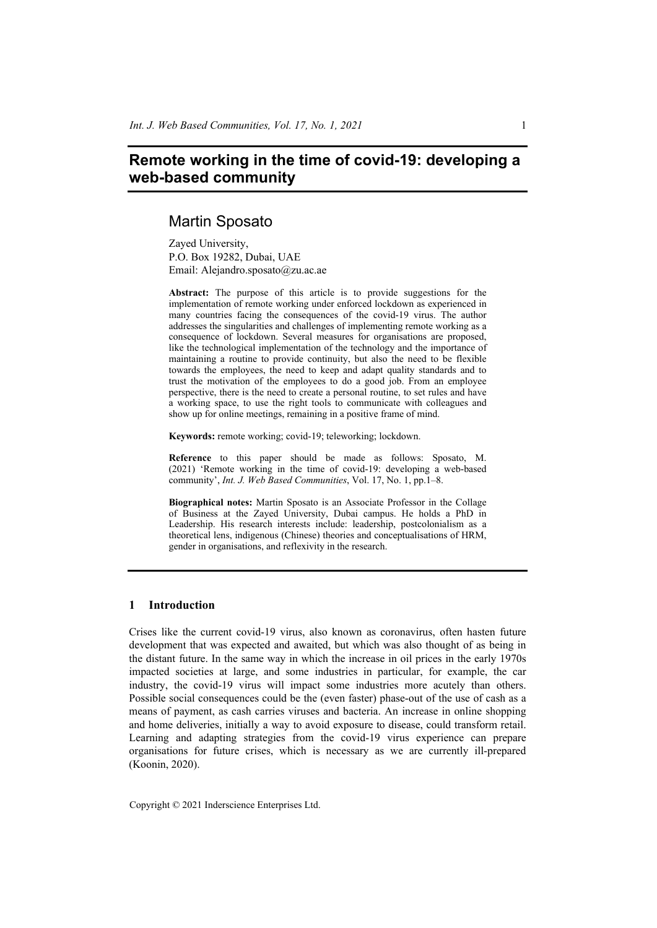# **Remote working in the time of covid-19: developing a web-based community**

# Martin Sposato

Zayed University, P.O. Box 19282, Dubai, UAE Email: Alejandro.sposato@zu.ac.ae

**Abstract:** The purpose of this article is to provide suggestions for the implementation of remote working under enforced lockdown as experienced in many countries facing the consequences of the covid-19 virus. The author addresses the singularities and challenges of implementing remote working as a consequence of lockdown. Several measures for organisations are proposed, like the technological implementation of the technology and the importance of maintaining a routine to provide continuity, but also the need to be flexible towards the employees, the need to keep and adapt quality standards and to trust the motivation of the employees to do a good job. From an employee perspective, there is the need to create a personal routine, to set rules and have a working space, to use the right tools to communicate with colleagues and show up for online meetings, remaining in a positive frame of mind.

**Keywords:** remote working; covid-19; teleworking; lockdown.

**Reference** to this paper should be made as follows: Sposato, M. (2021) 'Remote working in the time of covid-19: developing a web-based community', *Int. J. Web Based Communities*, Vol. 17, No. 1, pp.1–8.

**Biographical notes:** Martin Sposato is an Associate Professor in the Collage of Business at the Zayed University, Dubai campus. He holds a PhD in Leadership. His research interests include: leadership, postcolonialism as a theoretical lens, indigenous (Chinese) theories and conceptualisations of HRM, gender in organisations, and reflexivity in the research.

## **1 Introduction**

Crises like the current covid-19 virus, also known as coronavirus, often hasten future development that was expected and awaited, but which was also thought of as being in the distant future. In the same way in which the increase in oil prices in the early 1970s impacted societies at large, and some industries in particular, for example, the car industry, the covid-19 virus will impact some industries more acutely than others. Possible social consequences could be the (even faster) phase-out of the use of cash as a means of payment, as cash carries viruses and bacteria. An increase in online shopping and home deliveries, initially a way to avoid exposure to disease, could transform retail. Learning and adapting strategies from the covid-19 virus experience can prepare organisations for future crises, which is necessary as we are currently ill-prepared (Koonin, 2020).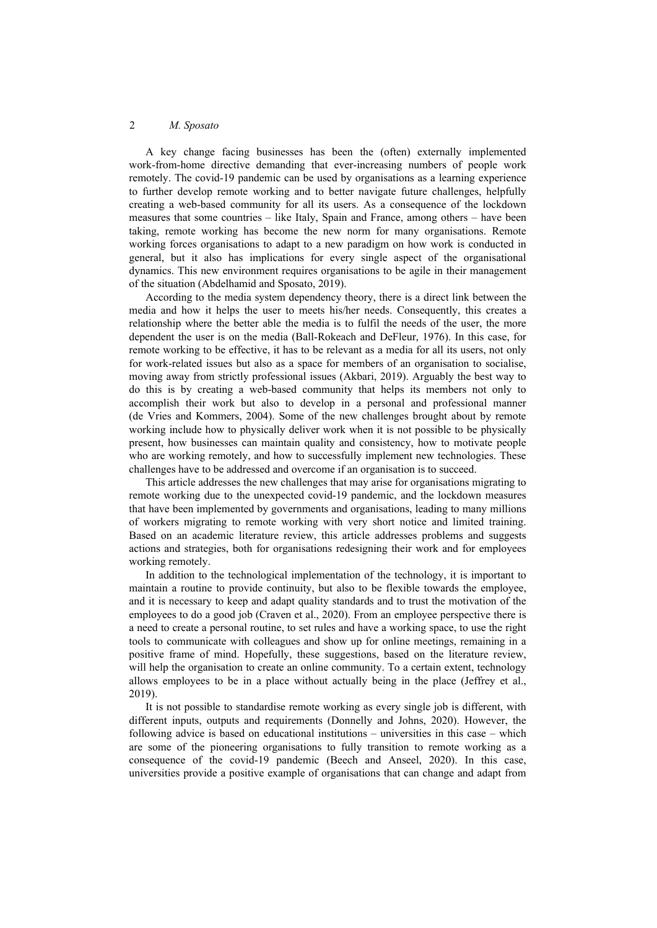A key change facing businesses has been the (often) externally implemented work-from-home directive demanding that ever-increasing numbers of people work remotely. The covid-19 pandemic can be used by organisations as a learning experience to further develop remote working and to better navigate future challenges, helpfully creating a web-based community for all its users. As a consequence of the lockdown measures that some countries – like Italy, Spain and France, among others – have been taking, remote working has become the new norm for many organisations. Remote working forces organisations to adapt to a new paradigm on how work is conducted in general, but it also has implications for every single aspect of the organisational dynamics. This new environment requires organisations to be agile in their management of the situation (Abdelhamid and Sposato, 2019).

According to the media system dependency theory, there is a direct link between the media and how it helps the user to meets his/her needs. Consequently, this creates a relationship where the better able the media is to fulfil the needs of the user, the more dependent the user is on the media (Ball-Rokeach and DeFleur, 1976). In this case, for remote working to be effective, it has to be relevant as a media for all its users, not only for work-related issues but also as a space for members of an organisation to socialise, moving away from strictly professional issues (Akbari, 2019). Arguably the best way to do this is by creating a web-based community that helps its members not only to accomplish their work but also to develop in a personal and professional manner (de Vries and Kommers, 2004). Some of the new challenges brought about by remote working include how to physically deliver work when it is not possible to be physically present, how businesses can maintain quality and consistency, how to motivate people who are working remotely, and how to successfully implement new technologies. These challenges have to be addressed and overcome if an organisation is to succeed.

This article addresses the new challenges that may arise for organisations migrating to remote working due to the unexpected covid-19 pandemic, and the lockdown measures that have been implemented by governments and organisations, leading to many millions of workers migrating to remote working with very short notice and limited training. Based on an academic literature review, this article addresses problems and suggests actions and strategies, both for organisations redesigning their work and for employees working remotely.

In addition to the technological implementation of the technology, it is important to maintain a routine to provide continuity, but also to be flexible towards the employee, and it is necessary to keep and adapt quality standards and to trust the motivation of the employees to do a good job (Craven et al., 2020). From an employee perspective there is a need to create a personal routine, to set rules and have a working space, to use the right tools to communicate with colleagues and show up for online meetings, remaining in a positive frame of mind. Hopefully, these suggestions, based on the literature review, will help the organisation to create an online community. To a certain extent, technology allows employees to be in a place without actually being in the place (Jeffrey et al., 2019).

It is not possible to standardise remote working as every single job is different, with different inputs, outputs and requirements (Donnelly and Johns, 2020). However, the following advice is based on educational institutions – universities in this case – which are some of the pioneering organisations to fully transition to remote working as a consequence of the covid-19 pandemic (Beech and Anseel, 2020). In this case, universities provide a positive example of organisations that can change and adapt from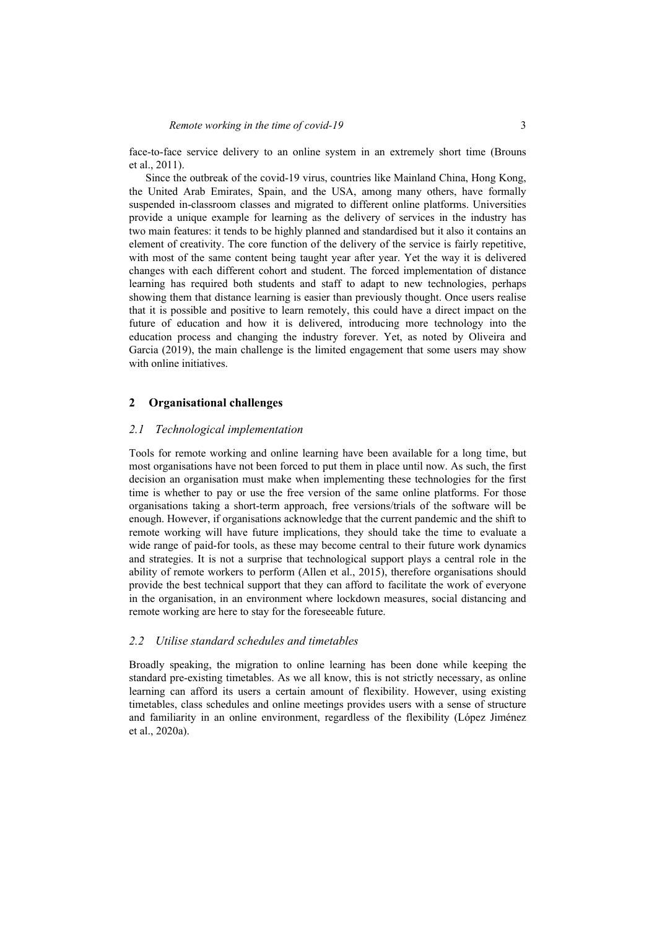face-to-face service delivery to an online system in an extremely short time (Brouns et al., 2011).

Since the outbreak of the covid-19 virus, countries like Mainland China, Hong Kong, the United Arab Emirates, Spain, and the USA, among many others, have formally suspended in-classroom classes and migrated to different online platforms. Universities provide a unique example for learning as the delivery of services in the industry has two main features: it tends to be highly planned and standardised but it also it contains an element of creativity. The core function of the delivery of the service is fairly repetitive, with most of the same content being taught year after year. Yet the way it is delivered changes with each different cohort and student. The forced implementation of distance learning has required both students and staff to adapt to new technologies, perhaps showing them that distance learning is easier than previously thought. Once users realise that it is possible and positive to learn remotely, this could have a direct impact on the future of education and how it is delivered, introducing more technology into the education process and changing the industry forever. Yet, as noted by Oliveira and Garcia (2019), the main challenge is the limited engagement that some users may show with online initiatives.

#### **2 Organisational challenges**

### *2.1 Technological implementation*

Tools for remote working and online learning have been available for a long time, but most organisations have not been forced to put them in place until now. As such, the first decision an organisation must make when implementing these technologies for the first time is whether to pay or use the free version of the same online platforms. For those organisations taking a short-term approach, free versions/trials of the software will be enough. However, if organisations acknowledge that the current pandemic and the shift to remote working will have future implications, they should take the time to evaluate a wide range of paid-for tools, as these may become central to their future work dynamics and strategies. It is not a surprise that technological support plays a central role in the ability of remote workers to perform (Allen et al., 2015), therefore organisations should provide the best technical support that they can afford to facilitate the work of everyone in the organisation, in an environment where lockdown measures, social distancing and remote working are here to stay for the foreseeable future.

### *2.2 Utilise standard schedules and timetables*

Broadly speaking, the migration to online learning has been done while keeping the standard pre-existing timetables. As we all know, this is not strictly necessary, as online learning can afford its users a certain amount of flexibility. However, using existing timetables, class schedules and online meetings provides users with a sense of structure and familiarity in an online environment, regardless of the flexibility (López Jiménez et al., 2020a).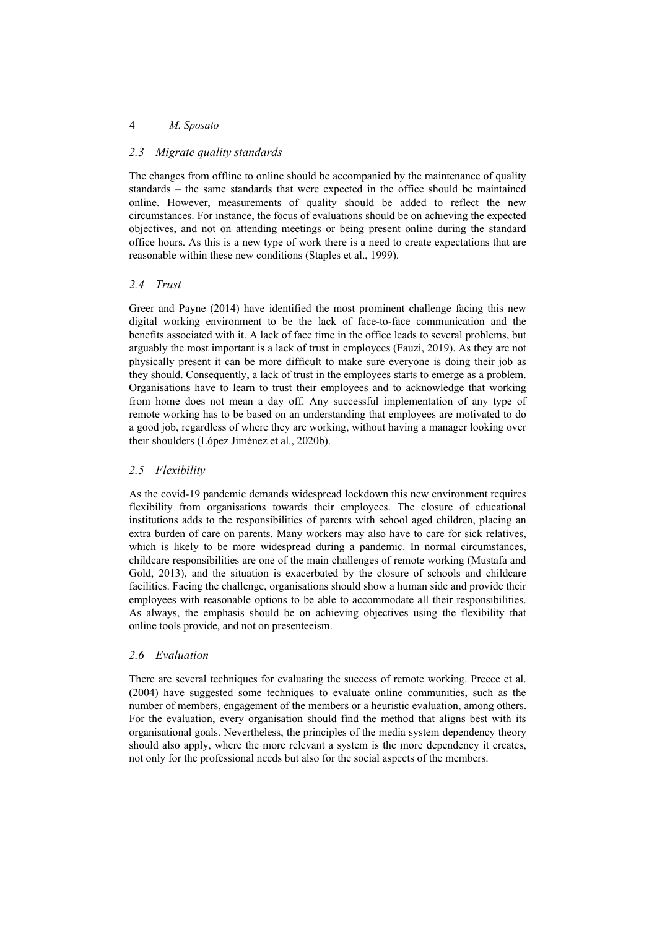### 4 *M. Sposato*

## *2.3 Migrate quality standards*

The changes from offline to online should be accompanied by the maintenance of quality standards – the same standards that were expected in the office should be maintained online. However, measurements of quality should be added to reflect the new circumstances. For instance, the focus of evaluations should be on achieving the expected objectives, and not on attending meetings or being present online during the standard office hours. As this is a new type of work there is a need to create expectations that are reasonable within these new conditions (Staples et al., 1999).

# *2.4 Trust*

Greer and Payne (2014) have identified the most prominent challenge facing this new digital working environment to be the lack of face-to-face communication and the benefits associated with it. A lack of face time in the office leads to several problems, but arguably the most important is a lack of trust in employees (Fauzi, 2019). As they are not physically present it can be more difficult to make sure everyone is doing their job as they should. Consequently, a lack of trust in the employees starts to emerge as a problem. Organisations have to learn to trust their employees and to acknowledge that working from home does not mean a day off. Any successful implementation of any type of remote working has to be based on an understanding that employees are motivated to do a good job, regardless of where they are working, without having a manager looking over their shoulders (López Jiménez et al., 2020b).

# *2.5 Flexibility*

As the covid-19 pandemic demands widespread lockdown this new environment requires flexibility from organisations towards their employees. The closure of educational institutions adds to the responsibilities of parents with school aged children, placing an extra burden of care on parents. Many workers may also have to care for sick relatives, which is likely to be more widespread during a pandemic. In normal circumstances, childcare responsibilities are one of the main challenges of remote working (Mustafa and Gold, 2013), and the situation is exacerbated by the closure of schools and childcare facilities. Facing the challenge, organisations should show a human side and provide their employees with reasonable options to be able to accommodate all their responsibilities. As always, the emphasis should be on achieving objectives using the flexibility that online tools provide, and not on presenteeism.

# *2.6 Evaluation*

There are several techniques for evaluating the success of remote working. Preece et al. (2004) have suggested some techniques to evaluate online communities, such as the number of members, engagement of the members or a heuristic evaluation, among others. For the evaluation, every organisation should find the method that aligns best with its organisational goals. Nevertheless, the principles of the media system dependency theory should also apply, where the more relevant a system is the more dependency it creates, not only for the professional needs but also for the social aspects of the members.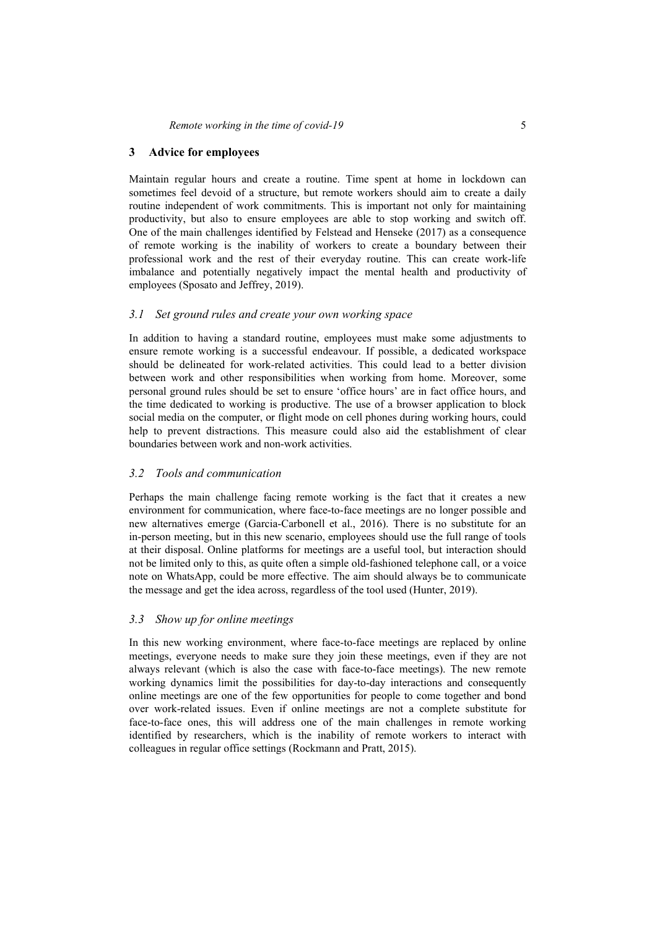#### **3 Advice for employees**

Maintain regular hours and create a routine. Time spent at home in lockdown can sometimes feel devoid of a structure, but remote workers should aim to create a daily routine independent of work commitments. This is important not only for maintaining productivity, but also to ensure employees are able to stop working and switch off. One of the main challenges identified by Felstead and Henseke (2017) as a consequence of remote working is the inability of workers to create a boundary between their professional work and the rest of their everyday routine. This can create work-life imbalance and potentially negatively impact the mental health and productivity of employees (Sposato and Jeffrey, 2019).

#### *3.1 Set ground rules and create your own working space*

In addition to having a standard routine, employees must make some adjustments to ensure remote working is a successful endeavour. If possible, a dedicated workspace should be delineated for work-related activities. This could lead to a better division between work and other responsibilities when working from home. Moreover, some personal ground rules should be set to ensure 'office hours' are in fact office hours, and the time dedicated to working is productive. The use of a browser application to block social media on the computer, or flight mode on cell phones during working hours, could help to prevent distractions. This measure could also aid the establishment of clear boundaries between work and non-work activities.

### *3.2 Tools and communication*

Perhaps the main challenge facing remote working is the fact that it creates a new environment for communication, where face-to-face meetings are no longer possible and new alternatives emerge (Garcia-Carbonell et al., 2016). There is no substitute for an in-person meeting, but in this new scenario, employees should use the full range of tools at their disposal. Online platforms for meetings are a useful tool, but interaction should not be limited only to this, as quite often a simple old-fashioned telephone call, or a voice note on WhatsApp, could be more effective. The aim should always be to communicate the message and get the idea across, regardless of the tool used (Hunter, 2019).

### *3.3 Show up for online meetings*

In this new working environment, where face-to-face meetings are replaced by online meetings, everyone needs to make sure they join these meetings, even if they are not always relevant (which is also the case with face-to-face meetings). The new remote working dynamics limit the possibilities for day-to-day interactions and consequently online meetings are one of the few opportunities for people to come together and bond over work-related issues. Even if online meetings are not a complete substitute for face-to-face ones, this will address one of the main challenges in remote working identified by researchers, which is the inability of remote workers to interact with colleagues in regular office settings (Rockmann and Pratt, 2015).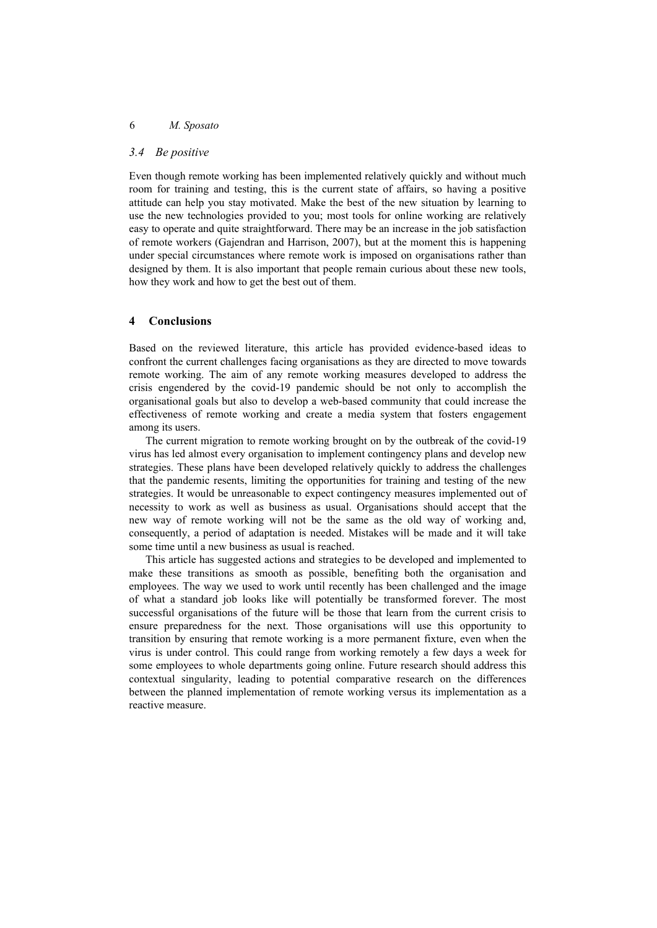## *3.4 Be positive*

Even though remote working has been implemented relatively quickly and without much room for training and testing, this is the current state of affairs, so having a positive attitude can help you stay motivated. Make the best of the new situation by learning to use the new technologies provided to you; most tools for online working are relatively easy to operate and quite straightforward. There may be an increase in the job satisfaction of remote workers (Gajendran and Harrison, 2007), but at the moment this is happening under special circumstances where remote work is imposed on organisations rather than designed by them. It is also important that people remain curious about these new tools, how they work and how to get the best out of them.

# **4 Conclusions**

Based on the reviewed literature, this article has provided evidence-based ideas to confront the current challenges facing organisations as they are directed to move towards remote working. The aim of any remote working measures developed to address the crisis engendered by the covid-19 pandemic should be not only to accomplish the organisational goals but also to develop a web-based community that could increase the effectiveness of remote working and create a media system that fosters engagement among its users.

The current migration to remote working brought on by the outbreak of the covid-19 virus has led almost every organisation to implement contingency plans and develop new strategies. These plans have been developed relatively quickly to address the challenges that the pandemic resents, limiting the opportunities for training and testing of the new strategies. It would be unreasonable to expect contingency measures implemented out of necessity to work as well as business as usual. Organisations should accept that the new way of remote working will not be the same as the old way of working and, consequently, a period of adaptation is needed. Mistakes will be made and it will take some time until a new business as usual is reached.

This article has suggested actions and strategies to be developed and implemented to make these transitions as smooth as possible, benefiting both the organisation and employees. The way we used to work until recently has been challenged and the image of what a standard job looks like will potentially be transformed forever. The most successful organisations of the future will be those that learn from the current crisis to ensure preparedness for the next. Those organisations will use this opportunity to transition by ensuring that remote working is a more permanent fixture, even when the virus is under control. This could range from working remotely a few days a week for some employees to whole departments going online. Future research should address this contextual singularity, leading to potential comparative research on the differences between the planned implementation of remote working versus its implementation as a reactive measure.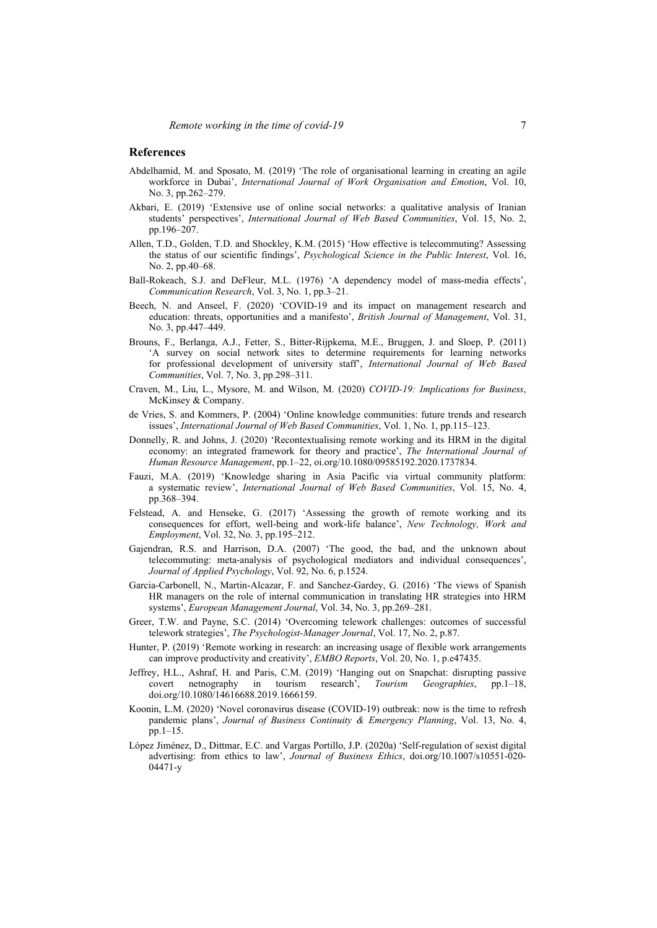#### **References**

- Abdelhamid, M. and Sposato, M. (2019) 'The role of organisational learning in creating an agile workforce in Dubai', *International Journal of Work Organisation and Emotion*, Vol. 10, No. 3, pp.262–279.
- Akbari, E. (2019) 'Extensive use of online social networks: a qualitative analysis of Iranian students' perspectives', *International Journal of Web Based Communities*, Vol. 15, No. 2, pp.196–207.
- Allen, T.D., Golden, T.D. and Shockley, K.M. (2015) 'How effective is telecommuting? Assessing the status of our scientific findings', *Psychological Science in the Public Interest*, Vol. 16, No. 2, pp.40–68.
- Ball-Rokeach, S.J. and DeFleur, M.L. (1976) 'A dependency model of mass-media effects', *Communication Research*, Vol. 3, No. 1, pp.3–21.
- Beech, N. and Anseel, F. (2020) 'COVID-19 and its impact on management research and education: threats, opportunities and a manifesto', *British Journal of Management*, Vol. 31, No. 3, pp.447–449.
- Brouns, F., Berlanga, A.J., Fetter, S., Bitter-Rijpkema, M.E., Bruggen, J. and Sloep, P. (2011) 'A survey on social network sites to determine requirements for learning networks for professional development of university staff', *International Journal of Web Based Communities*, Vol. 7, No. 3, pp.298–311.
- Craven, M., Liu, L., Mysore, M. and Wilson, M. (2020) *COVID-19: Implications for Business*, McKinsey & Company.
- de Vries, S. and Kommers, P. (2004) 'Online knowledge communities: future trends and research issues', *International Journal of Web Based Communities*, Vol. 1, No. 1, pp.115–123.
- Donnelly, R. and Johns, J. (2020) 'Recontextualising remote working and its HRM in the digital economy: an integrated framework for theory and practice', *The International Journal of Human Resource Management*, pp.1–22, oi.org/10.1080/09585192.2020.1737834.
- Fauzi, M.A. (2019) 'Knowledge sharing in Asia Pacific via virtual community platform: a systematic review', *International Journal of Web Based Communities*, Vol. 15, No. 4, pp.368–394.
- Felstead, A. and Henseke, G. (2017) 'Assessing the growth of remote working and its consequences for effort, well‐being and work‐life balance', *New Technology, Work and Employment*, Vol. 32, No. 3, pp.195–212.
- Gajendran, R.S. and Harrison, D.A. (2007) 'The good, the bad, and the unknown about telecommuting: meta-analysis of psychological mediators and individual consequences', *Journal of Applied Psychology*, Vol. 92, No. 6, p.1524.
- Garcia-Carbonell, N., Martin-Alcazar, F. and Sanchez-Gardey, G. (2016) 'The views of Spanish HR managers on the role of internal communication in translating HR strategies into HRM systems', *European Management Journal*, Vol. 34, No. 3, pp.269–281.
- Greer, T.W. and Payne, S.C. (2014) 'Overcoming telework challenges: outcomes of successful telework strategies', *The Psychologist-Manager Journal*, Vol. 17, No. 2, p.87.
- Hunter, P. (2019) 'Remote working in research: an increasing usage of flexible work arrangements can improve productivity and creativity', *EMBO Reports*, Vol. 20, No. 1, p.e47435.
- Jeffrey, H.L., Ashraf, H. and Paris, C.M. (2019) 'Hanging out on Snapchat: disrupting passive covert netnography in tourism research', *Tourism Geographies*, pp.1–18, doi.org/10.1080/14616688.2019.1666159.
- Koonin, L.M. (2020) 'Novel coronavirus disease (COVID-19) outbreak: now is the time to refresh pandemic plans', *Journal of Business Continuity & Emergency Planning*, Vol. 13, No. 4, pp.1–15.
- López Jiménez, D., Dittmar, E.C. and Vargas Portillo, J.P. (2020a) 'Self-regulation of sexist digital advertising: from ethics to law', *Journal of Business Ethics*, doi.org/10.1007/s10551-020- 04471-y